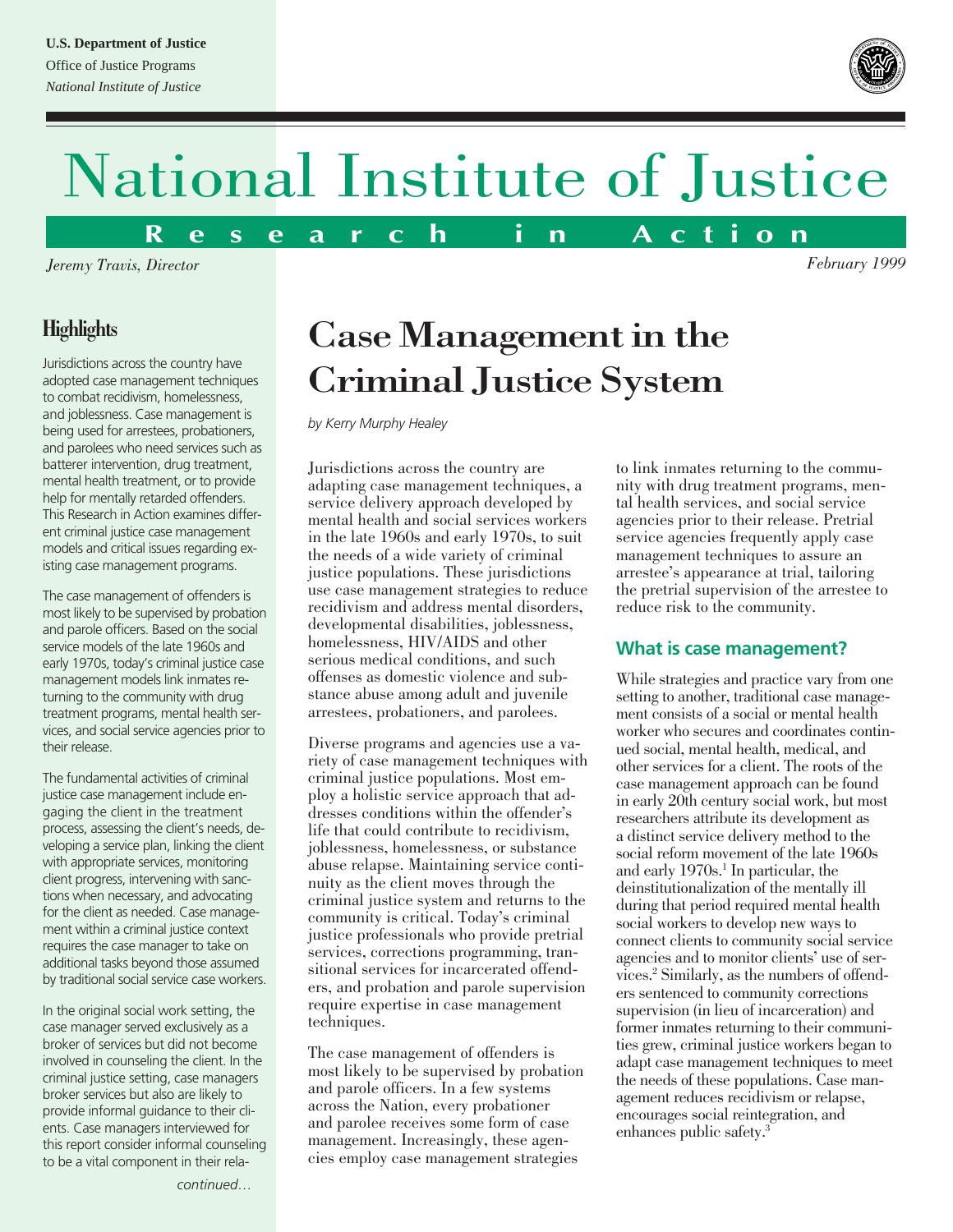### **U.S. Department of Justice**

Office of Justice Programs *National Institute of Justice*



*February 1999*

# National Institute of Justice

**R e s e a r c h i n A c t i o n**

*Jeremy Travis, Director*

## **Highlights**

Jurisdictions across the country have adopted case management techniques to combat recidivism, homelessness, and joblessness. Case management is being used for arrestees, probationers, and parolees who need services such as batterer intervention, drug treatment, mental health treatment, or to provide help for mentally retarded offenders. This Research in Action examines different criminal justice case management models and critical issues regarding existing case management programs.

The case management of offenders is most likely to be supervised by probation and parole officers. Based on the social service models of the late 1960s and early 1970s, today's criminal justice case management models link inmates returning to the community with drug treatment programs, mental health services, and social service agencies prior to their release.

The fundamental activities of criminal justice case management include engaging the client in the treatment process, assessing the client's needs, developing a service plan, linking the client with appropriate services, monitoring client progress, intervening with sanctions when necessary, and advocating for the client as needed. Case management within a criminal justice context requires the case manager to take on additional tasks beyond those assumed by traditional social service case workers.

In the original social work setting, the case manager served exclusively as a broker of services but did not become involved in counseling the client. In the criminal justice setting, case managers broker services but also are likely to provide informal guidance to their clients. Case managers interviewed for this report consider informal counseling to be a vital component in their rela-

# Case Management in the Criminal Justice System

*by Kerry Murphy Healey*

Jurisdictions across the country are adapting case management techniques, a service delivery approach developed by mental health and social services workers in the late 1960s and early 1970s, to suit the needs of a wide variety of criminal justice populations. These jurisdictions use case management strategies to reduce recidivism and address mental disorders, developmental disabilities, joblessness, homelessness, HIV/AIDS and other serious medical conditions, and such offenses as domestic violence and substance abuse among adult and juvenile arrestees, probationers, and parolees.

Diverse programs and agencies use a variety of case management techniques with criminal justice populations. Most employ a holistic service approach that addresses conditions within the offender's life that could contribute to recidivism, joblessness, homelessness, or substance abuse relapse. Maintaining service continuity as the client moves through the criminal justice system and returns to the community is critical. Today's criminal justice professionals who provide pretrial services, corrections programming, transitional services for incarcerated offenders, and probation and parole supervision require expertise in case management techniques.

The case management of offenders is most likely to be supervised by probation and parole officers. In a few systems across the Nation, every probationer and parolee receives some form of case management. Increasingly, these agencies employ case management strategies

to link inmates returning to the community with drug treatment programs, mental health services, and social service agencies prior to their release. Pretrial service agencies frequently apply case management techniques to assure an arrestee's appearance at trial, tailoring the pretrial supervision of the arrestee to reduce risk to the community.

### **What is case management?**

While strategies and practice vary from one setting to another, traditional case management consists of a social or mental health worker who secures and coordinates continued social, mental health, medical, and other services for a client. The roots of the case management approach can be found in early 20th century social work, but most researchers attribute its development as a distinct service delivery method to the social reform movement of the late 1960s and early 1970s.<sup>1</sup> In particular, the deinstitutionalization of the mentally ill during that period required mental health social workers to develop new ways to connect clients to community social service agencies and to monitor clients' use of services.2 Similarly, as the numbers of offenders sentenced to community corrections supervision (in lieu of incarceration) and former inmates returning to their communities grew, criminal justice workers began to adapt case management techniques to meet the needs of these populations. Case management reduces recidivism or relapse, encourages social reintegration, and enhances public safety.3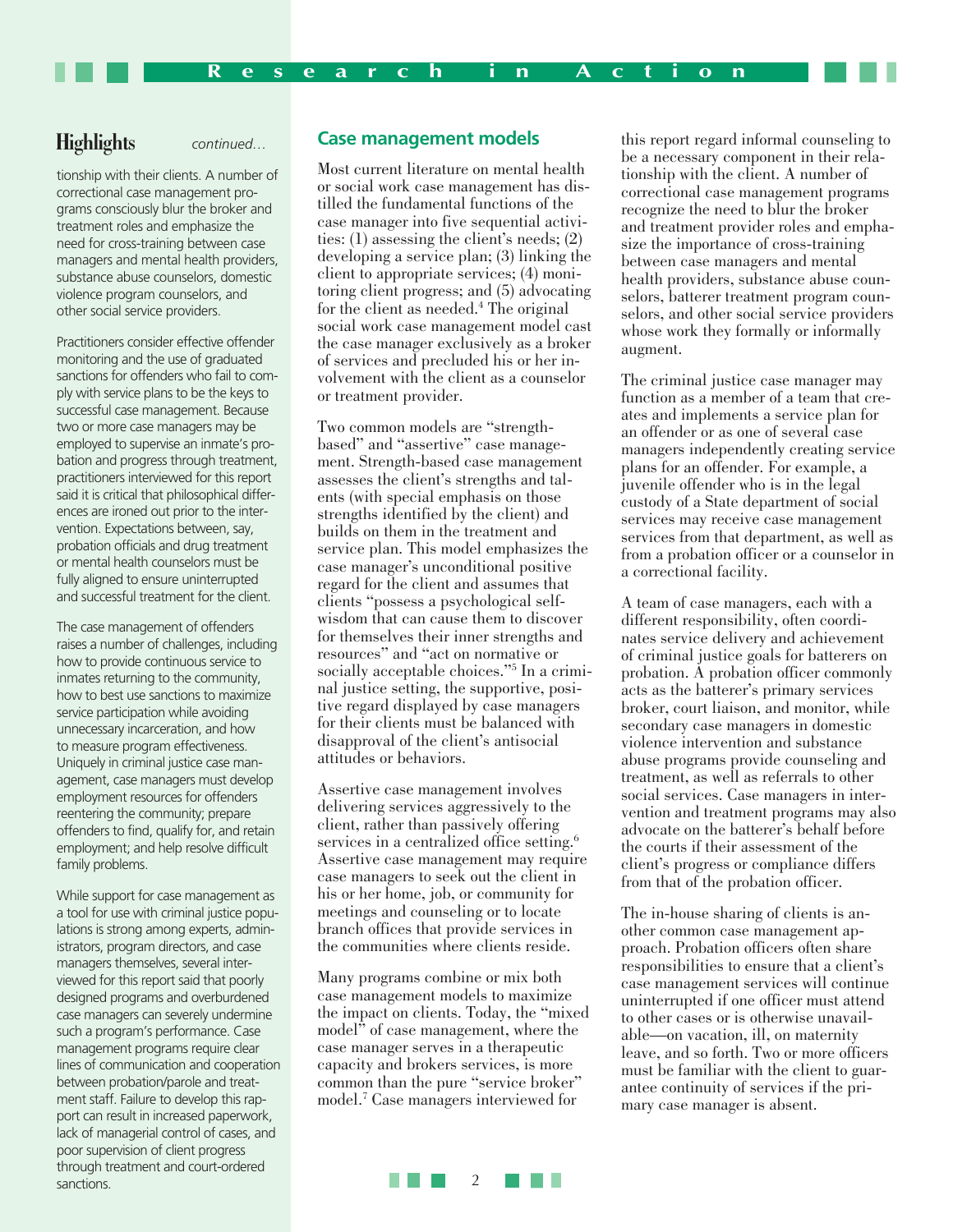### **Highlights** *continued…*

tionship with their clients. A number of correctional case management programs consciously blur the broker and treatment roles and emphasize the need for cross-training between case managers and mental health providers, substance abuse counselors, domestic violence program counselors, and other social service providers.

Practitioners consider effective offender monitoring and the use of graduated sanctions for offenders who fail to comply with service plans to be the keys to successful case management. Because two or more case managers may be employed to supervise an inmate's probation and progress through treatment, practitioners interviewed for this report said it is critical that philosophical differences are ironed out prior to the intervention. Expectations between, say, probation officials and drug treatment or mental health counselors must be fully aligned to ensure uninterrupted and successful treatment for the client.

The case management of offenders raises a number of challenges, including how to provide continuous service to inmates returning to the community, how to best use sanctions to maximize service participation while avoiding unnecessary incarceration, and how to measure program effectiveness. Uniquely in criminal justice case management, case managers must develop employment resources for offenders reentering the community; prepare offenders to find, qualify for, and retain employment; and help resolve difficult family problems.

While support for case management as a tool for use with criminal justice populations is strong among experts, administrators, program directors, and case managers themselves, several interviewed for this report said that poorly designed programs and overburdened case managers can severely undermine such a program's performance. Case management programs require clear lines of communication and cooperation between probation/parole and treatment staff. Failure to develop this rapport can result in increased paperwork, lack of managerial control of cases, and poor supervision of client progress through treatment and court-ordered sanctions.

### **Case management models**

Most current literature on mental health or social work case management has distilled the fundamental functions of the case manager into five sequential activities: (1) assessing the client's needs; (2) developing a service plan; (3) linking the client to appropriate services; (4) monitoring client progress; and (5) advocating for the client as needed.<sup>4</sup> The original social work case management model cast the case manager exclusively as a broker of services and precluded his or her involvement with the client as a counselor or treatment provider.

Two common models are "strengthbased" and "assertive" case management. Strength-based case management assesses the client's strengths and talents (with special emphasis on those strengths identified by the client) and builds on them in the treatment and service plan. This model emphasizes the case manager's unconditional positive regard for the client and assumes that clients "possess a psychological selfwisdom that can cause them to discover for themselves their inner strengths and resources" and "act on normative or socially acceptable choices."5 In a criminal justice setting, the supportive, positive regard displayed by case managers for their clients must be balanced with disapproval of the client's antisocial attitudes or behaviors.

Assertive case management involves delivering services aggressively to the client, rather than passively offering services in a centralized office setting.<sup>6</sup> Assertive case management may require case managers to seek out the client in his or her home, job, or community for meetings and counseling or to locate branch offices that provide services in the communities where clients reside.

Many programs combine or mix both case management models to maximize the impact on clients. Today, the "mixed model" of case management, where the case manager serves in a therapeutic capacity and brokers services, is more common than the pure "service broker" model.7 Case managers interviewed for

this report regard informal counseling to be a necessary component in their relationship with the client. A number of correctional case management programs recognize the need to blur the broker and treatment provider roles and emphasize the importance of cross-training between case managers and mental health providers, substance abuse counselors, batterer treatment program counselors, and other social service providers whose work they formally or informally augment.

The criminal justice case manager may function as a member of a team that creates and implements a service plan for an offender or as one of several case managers independently creating service plans for an offender. For example, a juvenile offender who is in the legal custody of a State department of social services may receive case management services from that department, as well as from a probation officer or a counselor in a correctional facility.

A team of case managers, each with a different responsibility, often coordinates service delivery and achievement of criminal justice goals for batterers on probation. A probation officer commonly acts as the batterer's primary services broker, court liaison, and monitor, while secondary case managers in domestic violence intervention and substance abuse programs provide counseling and treatment, as well as referrals to other social services. Case managers in intervention and treatment programs may also advocate on the batterer's behalf before the courts if their assessment of the client's progress or compliance differs from that of the probation officer.

The in-house sharing of clients is another common case management approach. Probation officers often share responsibilities to ensure that a client's case management services will continue uninterrupted if one officer must attend to other cases or is otherwise unavailable—on vacation, ill, on maternity leave, and so forth. Two or more officers must be familiar with the client to guarantee continuity of services if the primary case manager is absent.

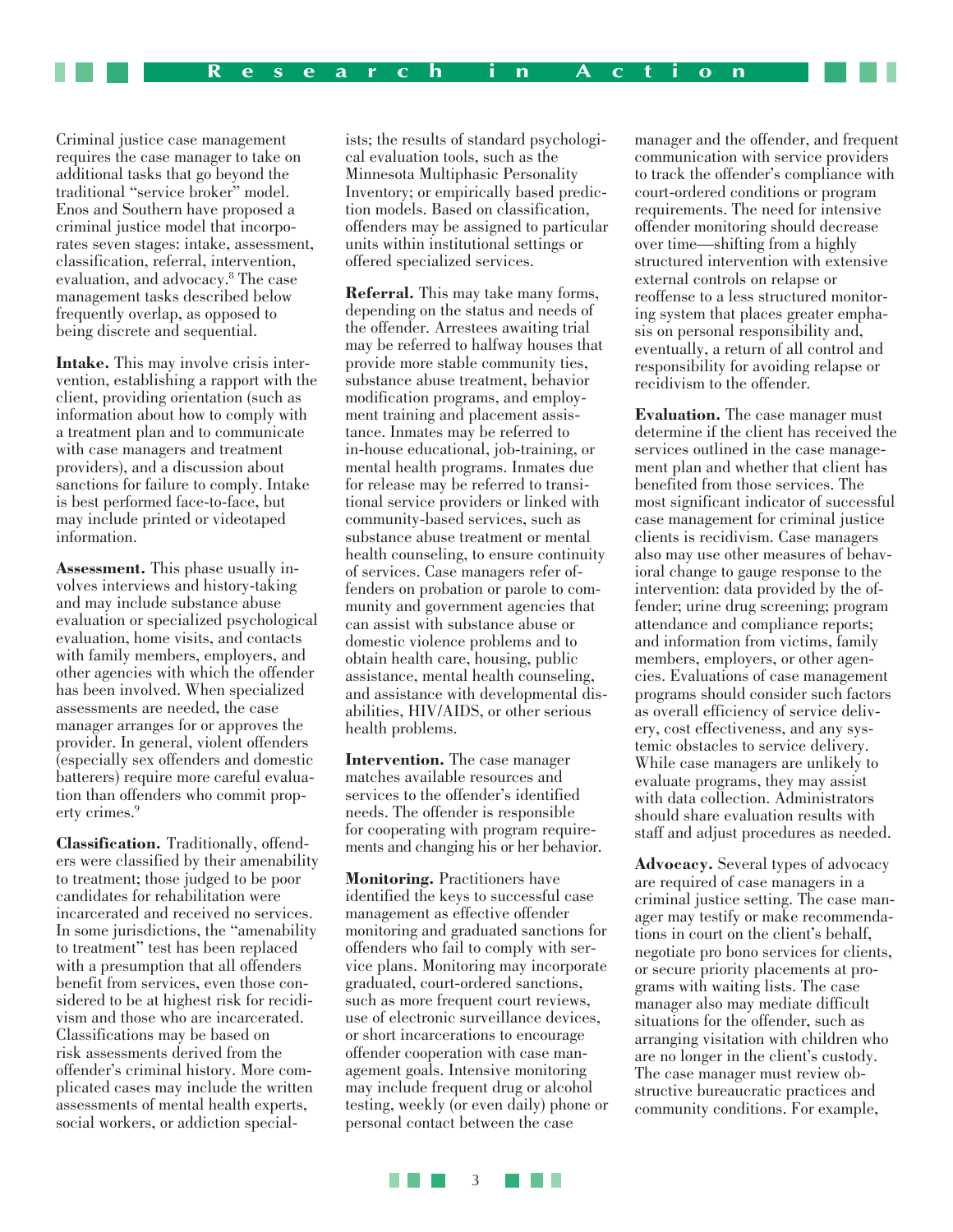Criminal justice case management requires the case manager to take on additional tasks that go beyond the traditional "service broker" model. Enos and Southern have proposed a criminal justice model that incorporates seven stages: intake, assessment, classification, referral, intervention, evaluation, and advocacy.8 The case management tasks described below frequently overlap, as opposed to being discrete and sequential.

**Intake.** This may involve crisis intervention, establishing a rapport with the client, providing orientation (such as information about how to comply with a treatment plan and to communicate with case managers and treatment providers), and a discussion about sanctions for failure to comply. Intake is best performed face-to-face, but may include printed or videotaped information.

**Assessment.** This phase usually involves interviews and history-taking and may include substance abuse evaluation or specialized psychological evaluation, home visits, and contacts with family members, employers, and other agencies with which the offender has been involved. When specialized assessments are needed, the case manager arranges for or approves the provider. In general, violent offenders (especially sex offenders and domestic batterers) require more careful evaluation than offenders who commit property crimes.<sup>9</sup>

**Classification.** Traditionally, offenders were classified by their amenability to treatment; those judged to be poor candidates for rehabilitation were incarcerated and received no services. In some jurisdictions, the "amenability to treatment" test has been replaced with a presumption that all offenders benefit from services, even those considered to be at highest risk for recidivism and those who are incarcerated. Classifications may be based on risk assessments derived from the offender's criminal history. More complicated cases may include the written assessments of mental health experts, social workers, or addiction special-

ists; the results of standard psychological evaluation tools, such as the Minnesota Multiphasic Personality Inventory; or empirically based prediction models. Based on classification, offenders may be assigned to particular units within institutional settings or offered specialized services.

**Referral.** This may take many forms, depending on the status and needs of the offender. Arrestees awaiting trial may be referred to halfway houses that provide more stable community ties, substance abuse treatment, behavior modification programs, and employment training and placement assistance. Inmates may be referred to in-house educational, job-training, or mental health programs. Inmates due for release may be referred to transitional service providers or linked with community-based services, such as substance abuse treatment or mental health counseling, to ensure continuity of services. Case managers refer offenders on probation or parole to community and government agencies that can assist with substance abuse or domestic violence problems and to obtain health care, housing, public assistance, mental health counseling, and assistance with developmental disabilities, HIV/AIDS, or other serious health problems.

**Intervention.** The case manager matches available resources and services to the offender's identified needs. The offender is responsible for cooperating with program requirements and changing his or her behavior.

**Monitoring.** Practitioners have identified the keys to successful case management as effective offender monitoring and graduated sanctions for offenders who fail to comply with service plans. Monitoring may incorporate graduated, court-ordered sanctions, such as more frequent court reviews, use of electronic surveillance devices, or short incarcerations to encourage offender cooperation with case management goals. Intensive monitoring may include frequent drug or alcohol testing, weekly (or even daily) phone or personal contact between the case

manager and the offender, and frequent communication with service providers to track the offender's compliance with court-ordered conditions or program requirements. The need for intensive offender monitoring should decrease over time—shifting from a highly structured intervention with extensive external controls on relapse or reoffense to a less structured monitoring system that places greater emphasis on personal responsibility and, eventually, a return of all control and responsibility for avoiding relapse or recidivism to the offender.

**Evaluation.** The case manager must determine if the client has received the services outlined in the case management plan and whether that client has benefited from those services. The most significant indicator of successful case management for criminal justice clients is recidivism. Case managers also may use other measures of behavioral change to gauge response to the intervention: data provided by the offender; urine drug screening; program attendance and compliance reports; and information from victims, family members, employers, or other agencies. Evaluations of case management programs should consider such factors as overall efficiency of service delivery, cost effectiveness, and any systemic obstacles to service delivery. While case managers are unlikely to evaluate programs, they may assist with data collection. Administrators should share evaluation results with staff and adjust procedures as needed.

**Advocacy.** Several types of advocacy are required of case managers in a criminal justice setting. The case manager may testify or make recommendations in court on the client's behalf, negotiate pro bono services for clients, or secure priority placements at programs with waiting lists. The case manager also may mediate difficult situations for the offender, such as arranging visitation with children who are no longer in the client's custody. The case manager must review obstructive bureaucratic practices and community conditions. For example,

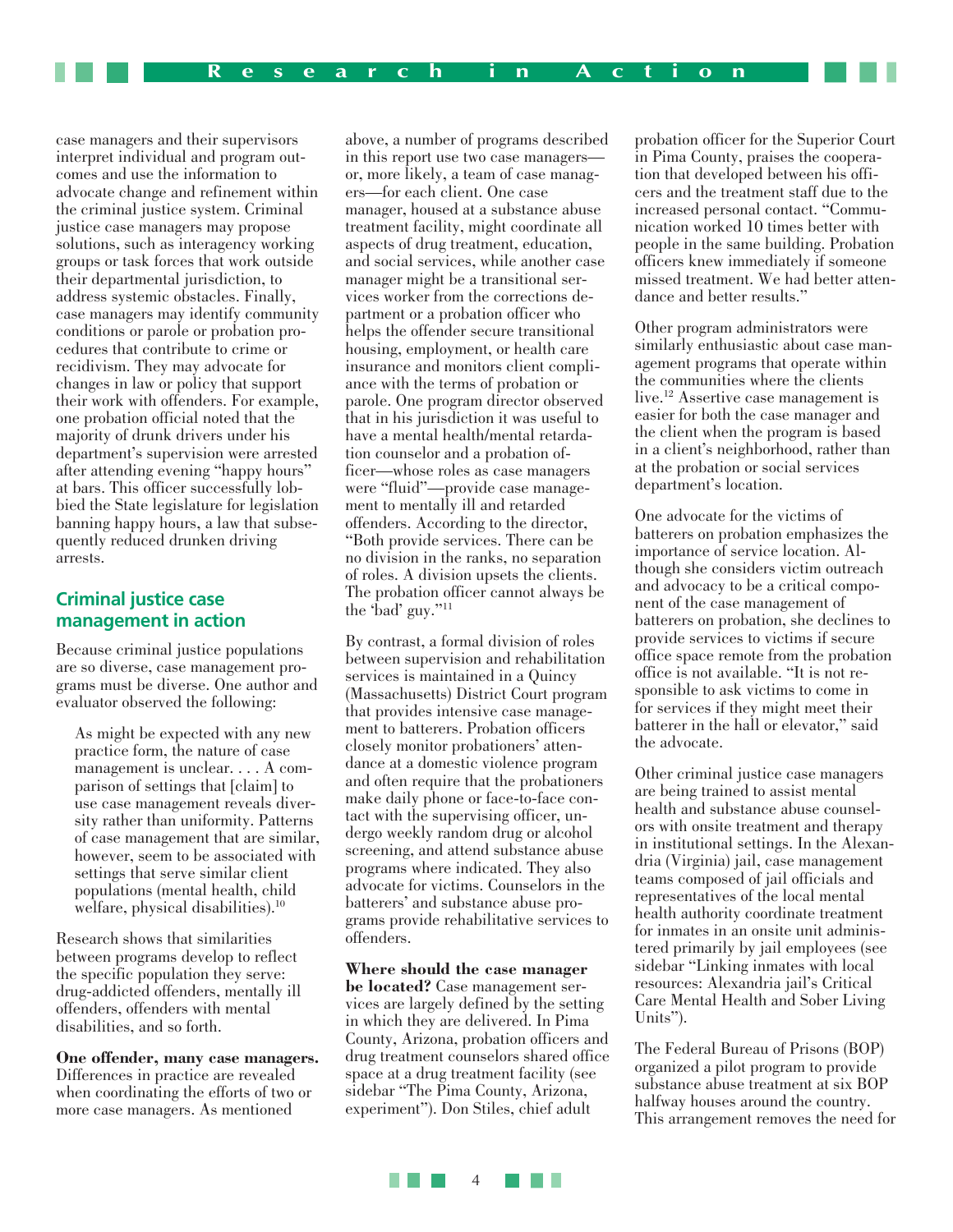case managers and their supervisors interpret individual and program outcomes and use the information to advocate change and refinement within the criminal justice system. Criminal justice case managers may propose solutions, such as interagency working groups or task forces that work outside their departmental jurisdiction, to address systemic obstacles. Finally, case managers may identify community conditions or parole or probation procedures that contribute to crime or recidivism. They may advocate for changes in law or policy that support their work with offenders. For example, one probation official noted that the majority of drunk drivers under his department's supervision were arrested after attending evening "happy hours" at bars. This officer successfully lobbied the State legislature for legislation banning happy hours, a law that subsequently reduced drunken driving arrests.

### **Criminal justice case management in action**

Because criminal justice populations are so diverse, case management programs must be diverse. One author and evaluator observed the following:

As might be expected with any new practice form, the nature of case management is unclear. . . . A comparison of settings that [claim] to use case management reveals diversity rather than uniformity. Patterns of case management that are similar, however, seem to be associated with settings that serve similar client populations (mental health, child welfare, physical disabilities).<sup>10</sup>

Research shows that similarities between programs develop to reflect the specific population they serve: drug-addicted offenders, mentally ill offenders, offenders with mental disabilities, and so forth.

**One offender, many case managers.** Differences in practice are revealed when coordinating the efforts of two or more case managers. As mentioned

above, a number of programs described in this report use two case managers or, more likely, a team of case managers—for each client. One case manager, housed at a substance abuse treatment facility, might coordinate all aspects of drug treatment, education, and social services, while another case manager might be a transitional services worker from the corrections department or a probation officer who helps the offender secure transitional housing, employment, or health care insurance and monitors client compliance with the terms of probation or parole. One program director observed that in his jurisdiction it was useful to have a mental health/mental retardation counselor and a probation officer—whose roles as case managers were "fluid"—provide case management to mentally ill and retarded offenders. According to the director, "Both provide services. There can be no division in the ranks, no separation of roles. A division upsets the clients. The probation officer cannot always be the 'bad' guy."11

By contrast, a formal division of roles between supervision and rehabilitation services is maintained in a Quincy (Massachusetts) District Court program that provides intensive case management to batterers. Probation officers closely monitor probationers' attendance at a domestic violence program and often require that the probationers make daily phone or face-to-face contact with the supervising officer, undergo weekly random drug or alcohol screening, and attend substance abuse programs where indicated. They also advocate for victims. Counselors in the batterers' and substance abuse programs provide rehabilitative services to offenders.

**Where should the case manager be located?** Case management services are largely defined by the setting in which they are delivered. In Pima County, Arizona, probation officers and drug treatment counselors shared office space at a drug treatment facility (see sidebar "The Pima County, Arizona, experiment"). Don Stiles, chief adult

probation officer for the Superior Court in Pima County, praises the cooperation that developed between his officers and the treatment staff due to the increased personal contact. "Communication worked 10 times better with people in the same building. Probation officers knew immediately if someone missed treatment. We had better attendance and better results."

Other program administrators were similarly enthusiastic about case management programs that operate within the communities where the clients live.12 Assertive case management is easier for both the case manager and the client when the program is based in a client's neighborhood, rather than at the probation or social services department's location.

One advocate for the victims of batterers on probation emphasizes the importance of service location. Although she considers victim outreach and advocacy to be a critical component of the case management of batterers on probation, she declines to provide services to victims if secure office space remote from the probation office is not available. "It is not responsible to ask victims to come in for services if they might meet their batterer in the hall or elevator," said the advocate.

Other criminal justice case managers are being trained to assist mental health and substance abuse counselors with onsite treatment and therapy in institutional settings. In the Alexandria (Virginia) jail, case management teams composed of jail officials and representatives of the local mental health authority coordinate treatment for inmates in an onsite unit administered primarily by jail employees (see sidebar "Linking inmates with local resources: Alexandria jail's Critical Care Mental Health and Sober Living Units").

The Federal Bureau of Prisons (BOP) organized a pilot program to provide substance abuse treatment at six BOP halfway houses around the country. This arrangement removes the need for

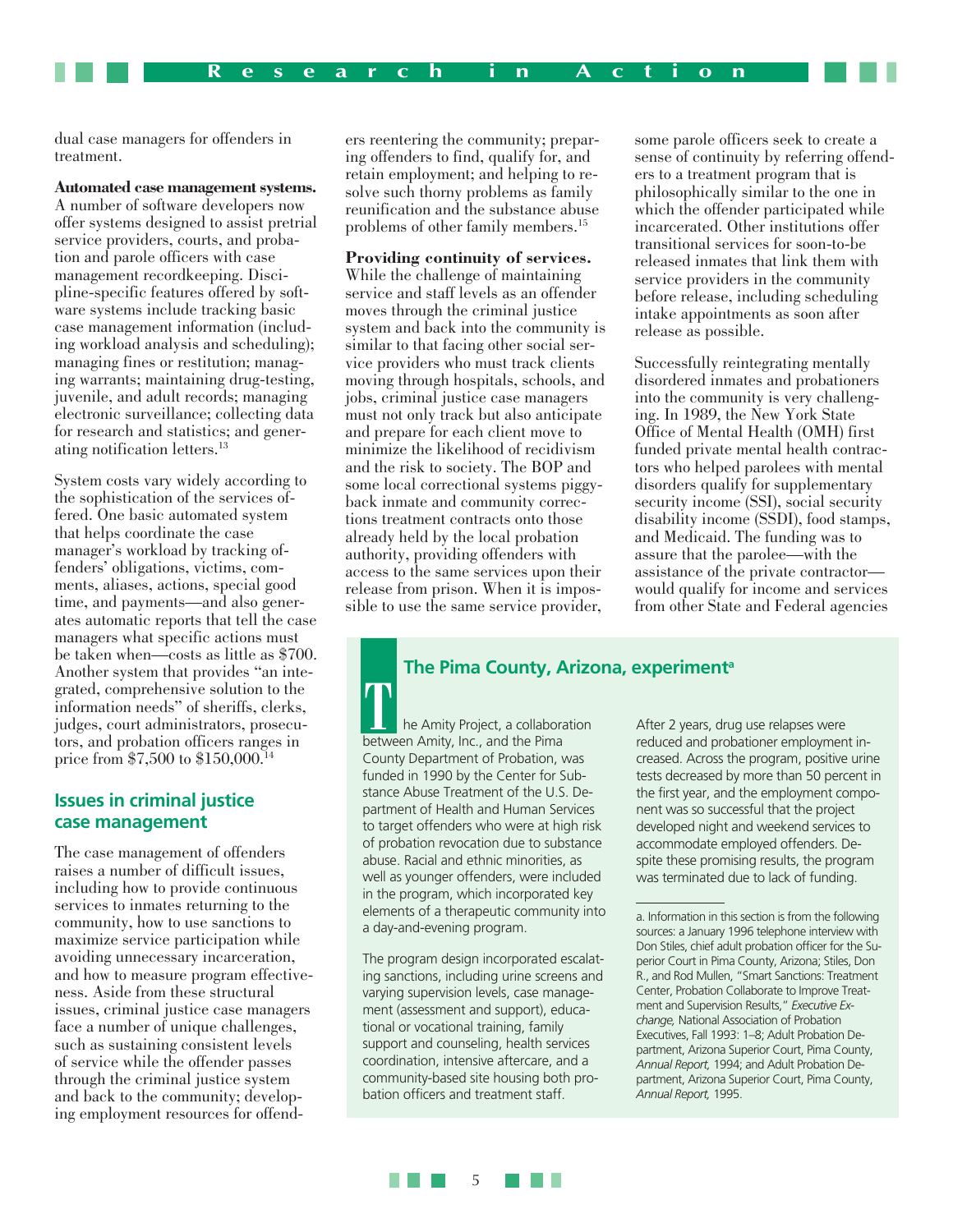dual case managers for offenders in treatment.

### **Automated case management systems.**

A number of software developers now offer systems designed to assist pretrial service providers, courts, and probation and parole officers with case management recordkeeping. Discipline-specific features offered by software systems include tracking basic case management information (including workload analysis and scheduling); managing fines or restitution; managing warrants; maintaining drug-testing, juvenile, and adult records; managing electronic surveillance; collecting data for research and statistics; and generating notification letters.13

System costs vary widely according to the sophistication of the services offered. One basic automated system that helps coordinate the case manager's workload by tracking offenders' obligations, victims, comments, aliases, actions, special good time, and payments—and also generates automatic reports that tell the case managers what specific actions must be taken when—costs as little as \$700. Another system that provides "an integrated, comprehensive solution to the information needs" of sheriffs, clerks, judges, court administrators, prosecutors, and probation officers ranges in price from \$7,500 to \$150,000.14

### **Issues in criminal justice case management**

The case management of offenders raises a number of difficult issues, including how to provide continuous services to inmates returning to the community, how to use sanctions to maximize service participation while avoiding unnecessary incarceration, and how to measure program effectiveness. Aside from these structural issues, criminal justice case managers face a number of unique challenges, such as sustaining consistent levels of service while the offender passes through the criminal justice system and back to the community; developing employment resources for offend-

ers reentering the community; preparing offenders to find, qualify for, and retain employment; and helping to resolve such thorny problems as family reunification and the substance abuse problems of other family members.15

### **Providing continuity of services.**

While the challenge of maintaining service and staff levels as an offender moves through the criminal justice system and back into the community is similar to that facing other social service providers who must track clients moving through hospitals, schools, and jobs, criminal justice case managers must not only track but also anticipate and prepare for each client move to minimize the likelihood of recidivism and the risk to society. The BOP and some local correctional systems piggyback inmate and community corrections treatment contracts onto those already held by the local probation authority, providing offenders with access to the same services upon their release from prison. When it is impossible to use the same service provider,

some parole officers seek to create a sense of continuity by referring offenders to a treatment program that is philosophically similar to the one in which the offender participated while incarcerated. Other institutions offer transitional services for soon-to-be released inmates that link them with service providers in the community before release, including scheduling intake appointments as soon after release as possible.

Successfully reintegrating mentally disordered inmates and probationers into the community is very challenging. In 1989, the New York State Office of Mental Health (OMH) first funded private mental health contractors who helped parolees with mental disorders qualify for supplementary security income (SSI), social security disability income (SSDI), food stamps, and Medicaid. The funding was to assure that the parolee—with the assistance of the private contractor would qualify for income and services from other State and Federal agencies

### **The Pima County, Arizona, experimenta**

he Amity Project, a collaboration between Amity, Inc., and the Pima County Department of Probation, was funded in 1990 by the Center for Substance Abuse Treatment of the U.S. Department of Health and Human Services to target offenders who were at high risk of probation revocation due to substance abuse. Racial and ethnic minorities, as well as younger offenders, were included in the program, which incorporated key elements of a therapeutic community into a day-and-evening program.

The program design incorporated escalating sanctions, including urine screens and varying supervision levels, case management (assessment and support), educational or vocational training, family support and counseling, health services coordination, intensive aftercare, and a community-based site housing both probation officers and treatment staff.

After 2 years, drug use relapses were reduced and probationer employment increased. Across the program, positive urine tests decreased by more than 50 percent in the first year, and the employment component was so successful that the project developed night and weekend services to accommodate employed offenders. Despite these promising results, the program was terminated due to lack of funding.



a. Information in this section is from the following sources: a January 1996 telephone interview with Don Stiles, chief adult probation officer for the Superior Court in Pima County, Arizona; Stiles, Don R., and Rod Mullen, "Smart Sanctions: Treatment Center, Probation Collaborate to Improve Treatment and Supervision Results," *Executive Exchange,* National Association of Probation Executives, Fall 1993: 1–8; Adult Probation Department, Arizona Superior Court, Pima County, *Annual Report,* 1994; and Adult Probation Department, Arizona Superior Court, Pima County, *Annual Report,* 1995.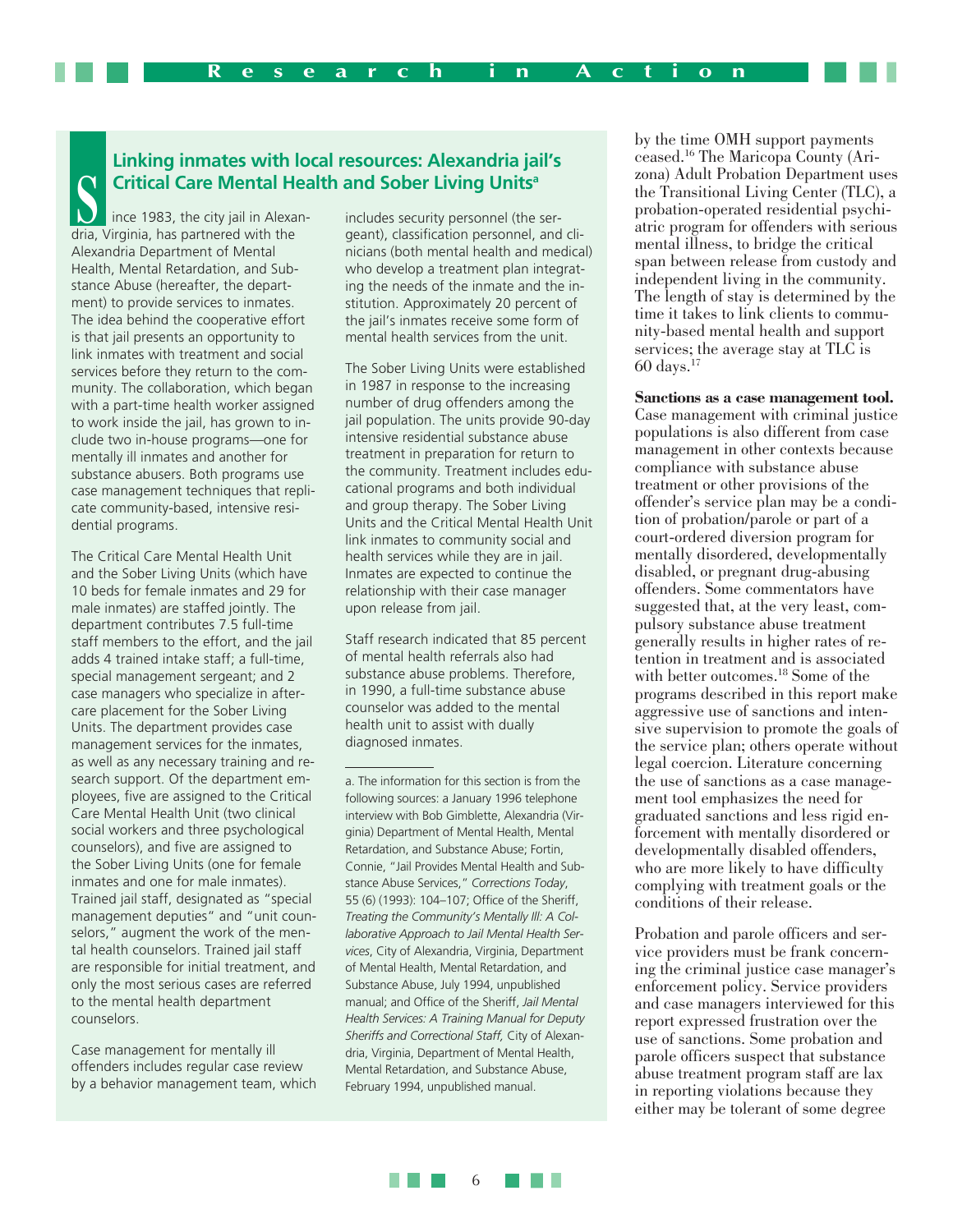# **Linking inmates with local resources: Alexandria jail's Critical Care Mental Health and Sober Living Units<sup>a</sup><br>
Ince 1983, the city jail in Alexan-<br>
<b>Santia** Virginia, has partnered with the ser-<br> **Santia** Virginia, has partnered with the ser-

ince 1983, the city jail in Alexandria, Virginia, has partnered with the Alexandria Department of Mental Health, Mental Retardation, and Substance Abuse (hereafter, the department) to provide services to inmates. The idea behind the cooperative effort is that jail presents an opportunity to link inmates with treatment and social services before they return to the community. The collaboration, which began with a part-time health worker assigned to work inside the jail, has grown to include two in-house programs—one for mentally ill inmates and another for substance abusers. Both programs use case management techniques that replicate community-based, intensive residential programs.

The Critical Care Mental Health Unit and the Sober Living Units (which have 10 beds for female inmates and 29 for male inmates) are staffed jointly. The department contributes 7.5 full-time staff members to the effort, and the jail adds 4 trained intake staff; a full-time, special management sergeant; and 2 case managers who specialize in aftercare placement for the Sober Living Units. The department provides case management services for the inmates, as well as any necessary training and research support. Of the department employees, five are assigned to the Critical Care Mental Health Unit (two clinical social workers and three psychological counselors), and five are assigned to the Sober Living Units (one for female inmates and one for male inmates). Trained jail staff, designated as "special management deputies" and "unit counselors," augment the work of the mental health counselors. Trained jail staff are responsible for initial treatment, and only the most serious cases are referred to the mental health department counselors.

Case management for mentally ill offenders includes regular case review by a behavior management team, which

geant), classification personnel, and clinicians (both mental health and medical) who develop a treatment plan integrating the needs of the inmate and the institution. Approximately 20 percent of the jail's inmates receive some form of mental health services from the unit.

The Sober Living Units were established in 1987 in response to the increasing number of drug offenders among the jail population. The units provide 90-day intensive residential substance abuse treatment in preparation for return to the community. Treatment includes educational programs and both individual and group therapy. The Sober Living Units and the Critical Mental Health Unit link inmates to community social and health services while they are in jail. Inmates are expected to continue the relationship with their case manager upon release from jail.

Staff research indicated that 85 percent of mental health referrals also had substance abuse problems. Therefore, in 1990, a full-time substance abuse counselor was added to the mental health unit to assist with dually diagnosed inmates.

a. The information for this section is from the following sources: a January 1996 telephone interview with Bob Gimblette, Alexandria (Virginia) Department of Mental Health, Mental Retardation, and Substance Abuse; Fortin, Connie, "Jail Provides Mental Health and Substance Abuse Services," *Corrections Today*, 55 (6) (1993): 104–107; Office of the Sheriff, *Treating the Community's Mentally Ill: A Collaborative Approach to Jail Mental Health Services*, City of Alexandria, Virginia, Department of Mental Health, Mental Retardation, and Substance Abuse, July 1994, unpublished manual; and Office of the Sheriff, *Jail Mental Health Services: A Training Manual for Deputy Sheriffs and Correctional Staff,* City of Alexandria, Virginia, Department of Mental Health, Mental Retardation, and Substance Abuse, February 1994, unpublished manual.

by the time OMH support payments ceased.16 The Maricopa County (Arizona) Adult Probation Department uses the Transitional Living Center (TLC), a probation-operated residential psychiatric program for offenders with serious mental illness, to bridge the critical span between release from custody and independent living in the community. The length of stay is determined by the time it takes to link clients to community-based mental health and support services; the average stay at TLC is  $60 \text{ days.}^{17}$ 

**Sanctions as a case management tool.** Case management with criminal justice populations is also different from case management in other contexts because compliance with substance abuse treatment or other provisions of the offender's service plan may be a condition of probation/parole or part of a court-ordered diversion program for mentally disordered, developmentally disabled, or pregnant drug-abusing offenders. Some commentators have suggested that, at the very least, compulsory substance abuse treatment generally results in higher rates of retention in treatment and is associated with better outcomes.<sup>18</sup> Some of the programs described in this report make aggressive use of sanctions and intensive supervision to promote the goals of the service plan; others operate without legal coercion. Literature concerning the use of sanctions as a case management tool emphasizes the need for graduated sanctions and less rigid enforcement with mentally disordered or developmentally disabled offenders, who are more likely to have difficulty complying with treatment goals or the conditions of their release.

Probation and parole officers and service providers must be frank concerning the criminal justice case manager's enforcement policy. Service providers and case managers interviewed for this report expressed frustration over the use of sanctions. Some probation and parole officers suspect that substance abuse treatment program staff are lax in reporting violations because they either may be tolerant of some degree

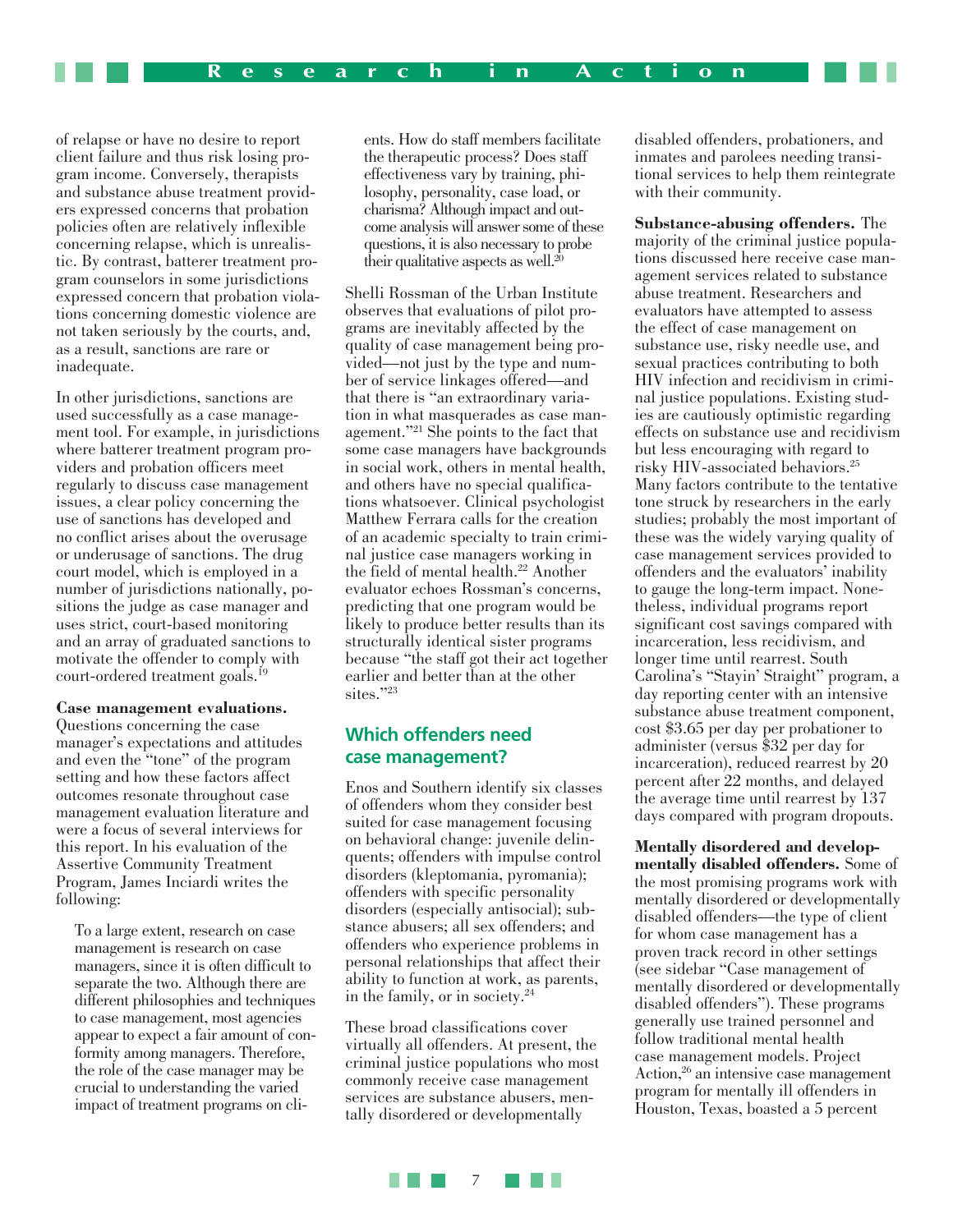of relapse or have no desire to report client failure and thus risk losing program income. Conversely, therapists and substance abuse treatment providers expressed concerns that probation policies often are relatively inflexible concerning relapse, which is unrealistic. By contrast, batterer treatment program counselors in some jurisdictions expressed concern that probation violations concerning domestic violence are not taken seriously by the courts, and, as a result, sanctions are rare or inadequate.

In other jurisdictions, sanctions are used successfully as a case management tool. For example, in jurisdictions where batterer treatment program providers and probation officers meet regularly to discuss case management issues, a clear policy concerning the use of sanctions has developed and no conflict arises about the overusage or underusage of sanctions. The drug court model, which is employed in a number of jurisdictions nationally, positions the judge as case manager and uses strict, court-based monitoring and an array of graduated sanctions to motivate the offender to comply with court-ordered treatment goals.19

### **Case management evaluations.**

Questions concerning the case manager's expectations and attitudes and even the "tone" of the program setting and how these factors affect outcomes resonate throughout case management evaluation literature and were a focus of several interviews for this report. In his evaluation of the Assertive Community Treatment Program, James Inciardi writes the following:

To a large extent, research on case management is research on case managers, since it is often difficult to separate the two. Although there are different philosophies and techniques to case management, most agencies appear to expect a fair amount of conformity among managers. Therefore, the role of the case manager may be crucial to understanding the varied impact of treatment programs on clients. How do staff members facilitate the therapeutic process? Does staff effectiveness vary by training, philosophy, personality, case load, or charisma? Although impact and outcome analysis will answer some of these questions, it is also necessary to probe their qualitative aspects as well. $^{20}$ 

Shelli Rossman of the Urban Institute observes that evaluations of pilot programs are inevitably affected by the quality of case management being provided—not just by the type and number of service linkages offered—and that there is "an extraordinary variation in what masquerades as case management."21 She points to the fact that some case managers have backgrounds in social work, others in mental health, and others have no special qualifications whatsoever. Clinical psychologist Matthew Ferrara calls for the creation of an academic specialty to train criminal justice case managers working in the field of mental health.<sup>22</sup> Another evaluator echoes Rossman's concerns, predicting that one program would be likely to produce better results than its structurally identical sister programs because "the staff got their act together earlier and better than at the other sites."23

### **Which offenders need case management?**

Enos and Southern identify six classes of offenders whom they consider best suited for case management focusing on behavioral change: juvenile delinquents; offenders with impulse control disorders (kleptomania, pyromania); offenders with specific personality disorders (especially antisocial); substance abusers; all sex offenders; and offenders who experience problems in personal relationships that affect their ability to function at work, as parents, in the family, or in society.24

These broad classifications cover virtually all offenders. At present, the criminal justice populations who most commonly receive case management services are substance abusers, mentally disordered or developmentally

disabled offenders, probationers, and inmates and parolees needing transitional services to help them reintegrate with their community.

**Substance-abusing offenders.** The majority of the criminal justice populations discussed here receive case management services related to substance abuse treatment. Researchers and evaluators have attempted to assess the effect of case management on substance use, risky needle use, and sexual practices contributing to both HIV infection and recidivism in criminal justice populations. Existing studies are cautiously optimistic regarding effects on substance use and recidivism but less encouraging with regard to risky HIV-associated behaviors.25 Many factors contribute to the tentative tone struck by researchers in the early studies; probably the most important of these was the widely varying quality of case management services provided to offenders and the evaluators' inability to gauge the long-term impact. Nonetheless, individual programs report significant cost savings compared with incarceration, less recidivism, and longer time until rearrest. South Carolina's "Stayin' Straight" program, a day reporting center with an intensive substance abuse treatment component, cost \$3.65 per day per probationer to administer (versus \$32 per day for incarceration), reduced rearrest by 20 percent after 22 months, and delayed the average time until rearrest by 137 days compared with program dropouts.

**Mentally disordered and developmentally disabled offenders.** Some of the most promising programs work with mentally disordered or developmentally disabled offenders—the type of client for whom case management has a proven track record in other settings (see sidebar "Case management of mentally disordered or developmentally disabled offenders"). These programs generally use trained personnel and follow traditional mental health case management models. Project Action,26 an intensive case management program for mentally ill offenders in Houston, Texas, boasted a 5 percent

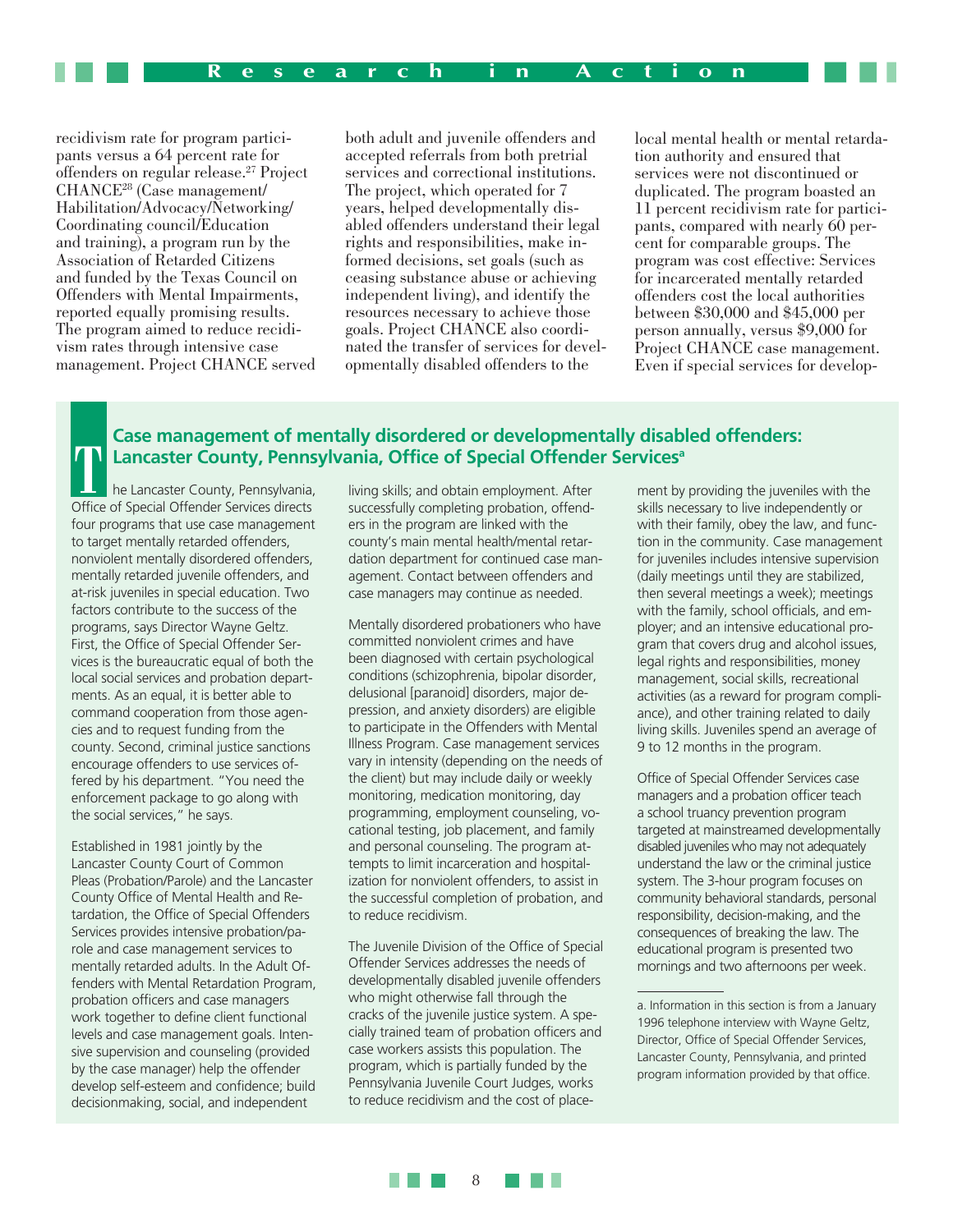recidivism rate for program participants versus a 64 percent rate for offenders on regular release.27 Project CHANCE28 (Case management/ Habilitation/Advocacy/Networking/ Coordinating council/Education and training), a program run by the Association of Retarded Citizens and funded by the Texas Council on Offenders with Mental Impairments, reported equally promising results. The program aimed to reduce recidivism rates through intensive case management. Project CHANCE served

both adult and juvenile offenders and accepted referrals from both pretrial services and correctional institutions. The project, which operated for 7 years, helped developmentally disabled offenders understand their legal rights and responsibilities, make informed decisions, set goals (such as ceasing substance abuse or achieving independent living), and identify the resources necessary to achieve those goals. Project CHANCE also coordinated the transfer of services for developmentally disabled offenders to the

local mental health or mental retardation authority and ensured that services were not discontinued or duplicated. The program boasted an 11 percent recidivism rate for participants, compared with nearly 60 percent for comparable groups. The program was cost effective: Services for incarcerated mentally retarded offenders cost the local authorities between \$30,000 and \$45,000 per person annually, versus \$9,000 for Project CHANCE case management. Even if special services for develop-

### **Case management of mentally disordered or developmentally disabled offenders: Lancaster County, Pennsylvania, Office of Special Offender Servicesa**

he Lancaster County, Pennsylvania, **Consider County, Penn:**<br> **The Lancaster County, Pennsylvania**<br> **Office of Special Offender Services directs** four programs that use case management to target mentally retarded offenders, nonviolent mentally disordered offenders, mentally retarded juvenile offenders, and at-risk juveniles in special education. Two factors contribute to the success of the programs, says Director Wayne Geltz. First, the Office of Special Offender Services is the bureaucratic equal of both the local social services and probation departments. As an equal, it is better able to command cooperation from those agencies and to request funding from the county. Second, criminal justice sanctions encourage offenders to use services offered by his department. "You need the enforcement package to go along with the social services," he says.

Established in 1981 jointly by the Lancaster County Court of Common Pleas (Probation/Parole) and the Lancaster County Office of Mental Health and Retardation, the Office of Special Offenders Services provides intensive probation/parole and case management services to mentally retarded adults. In the Adult Offenders with Mental Retardation Program, probation officers and case managers work together to define client functional levels and case management goals. Intensive supervision and counseling (provided by the case manager) help the offender develop self-esteem and confidence; build decisionmaking, social, and independent

living skills; and obtain employment. After successfully completing probation, offenders in the program are linked with the county's main mental health/mental retardation department for continued case management. Contact between offenders and case managers may continue as needed.

Mentally disordered probationers who have committed nonviolent crimes and have been diagnosed with certain psychological conditions (schizophrenia, bipolar disorder, delusional [paranoid] disorders, major depression, and anxiety disorders) are eligible to participate in the Offenders with Mental Illness Program. Case management services vary in intensity (depending on the needs of the client) but may include daily or weekly monitoring, medication monitoring, day programming, employment counseling, vocational testing, job placement, and family and personal counseling. The program attempts to limit incarceration and hospitalization for nonviolent offenders, to assist in the successful completion of probation, and to reduce recidivism.

The Juvenile Division of the Office of Special Offender Services addresses the needs of developmentally disabled juvenile offenders who might otherwise fall through the cracks of the juvenile justice system. A specially trained team of probation officers and case workers assists this population. The program, which is partially funded by the Pennsylvania Juvenile Court Judges, works to reduce recidivism and the cost of place-

ment by providing the juveniles with the skills necessary to live independently or with their family, obey the law, and function in the community. Case management for juveniles includes intensive supervision (daily meetings until they are stabilized, then several meetings a week); meetings with the family, school officials, and employer; and an intensive educational program that covers drug and alcohol issues, legal rights and responsibilities, money management, social skills, recreational activities (as a reward for program compliance), and other training related to daily living skills. Juveniles spend an average of 9 to 12 months in the program.

Office of Special Offender Services case managers and a probation officer teach a school truancy prevention program targeted at mainstreamed developmentally disabled juveniles who may not adequately understand the law or the criminal justice system. The 3-hour program focuses on community behavioral standards, personal responsibility, decision-making, and the consequences of breaking the law. The educational program is presented two mornings and two afternoons per week.



a. Information in this section is from a January 1996 telephone interview with Wayne Geltz, Director, Office of Special Offender Services, Lancaster County, Pennsylvania, and printed program information provided by that office.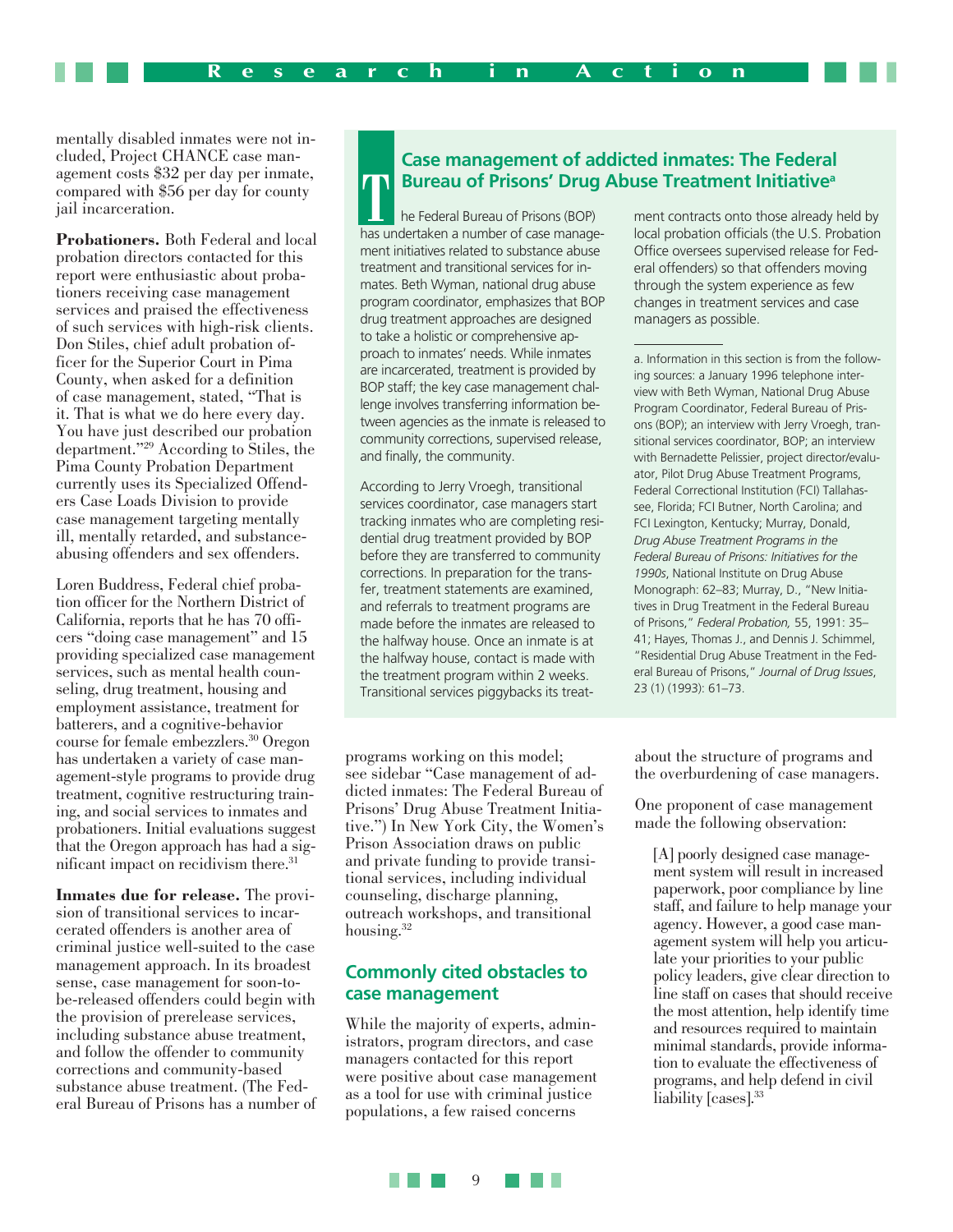mentally disabled inmates were not included, Project CHANCE case management costs \$32 per day per inmate, compared with \$56 per day for county jail incarceration.

**Probationers.** Both Federal and local probation directors contacted for this report were enthusiastic about probationers receiving case management services and praised the effectiveness of such services with high-risk clients. Don Stiles, chief adult probation officer for the Superior Court in Pima County, when asked for a definition of case management, stated, "That is it. That is what we do here every day. You have just described our probation department."29 According to Stiles, the Pima County Probation Department currently uses its Specialized Offenders Case Loads Division to provide case management targeting mentally ill, mentally retarded, and substanceabusing offenders and sex offenders.

Loren Buddress, Federal chief probation officer for the Northern District of California, reports that he has 70 officers "doing case management" and 15 providing specialized case management services, such as mental health counseling, drug treatment, housing and employment assistance, treatment for batterers, and a cognitive-behavior course for female embezzlers.30 Oregon has undertaken a variety of case management-style programs to provide drug treatment, cognitive restructuring training, and social services to inmates and probationers. Initial evaluations suggest that the Oregon approach has had a significant impact on recidivism there.31

**Inmates due for release.** The provision of transitional services to incarcerated offenders is another area of criminal justice well-suited to the case management approach. In its broadest sense, case management for soon-tobe-released offenders could begin with the provision of prerelease services, including substance abuse treatment, and follow the offender to community corrections and community-based substance abuse treatment. (The Federal Bureau of Prisons has a number of

### **Case management of addicted inmates: The Federal Bureau of Prisons' Drug Abuse Treatment Initiativea**

he Federal Bureau of Prisons (BOP) **TABBUTEAU OT Prisons: Drug**<br> **TABBUTEAU DREAD IN A TEAM PRISONS (BOP)**<br>
has undertaken a number of case management initiatives related to substance abuse treatment and transitional services for inmates. Beth Wyman, national drug abuse program coordinator, emphasizes that BOP drug treatment approaches are designed to take a holistic or comprehensive approach to inmates' needs. While inmates are incarcerated, treatment is provided by BOP staff; the key case management challenge involves transferring information between agencies as the inmate is released to community corrections, supervised release, and finally, the community.

According to Jerry Vroegh, transitional services coordinator, case managers start tracking inmates who are completing residential drug treatment provided by BOP before they are transferred to community corrections. In preparation for the transfer, treatment statements are examined, and referrals to treatment programs are made before the inmates are released to the halfway house. Once an inmate is at the halfway house, contact is made with the treatment program within 2 weeks. Transitional services piggybacks its treat-

programs working on this model; see sidebar "Case management of addicted inmates: The Federal Bureau of Prisons' Drug Abuse Treatment Initiative.") In New York City, the Women's Prison Association draws on public and private funding to provide transitional services, including individual counseling, discharge planning, outreach workshops, and transitional housing.<sup>32</sup>

### **Commonly cited obstacles to case management**

While the majority of experts, administrators, program directors, and case managers contacted for this report were positive about case management as a tool for use with criminal justice populations, a few raised concerns

ment contracts onto those already held by local probation officials (the U.S. Probation Office oversees supervised release for Federal offenders) so that offenders moving through the system experience as few changes in treatment services and case managers as possible.

a. Information in this section is from the following sources: a January 1996 telephone interview with Beth Wyman, National Drug Abuse Program Coordinator, Federal Bureau of Prisons (BOP); an interview with Jerry Vroegh, transitional services coordinator, BOP; an interview with Bernadette Pelissier, project director/evaluator, Pilot Drug Abuse Treatment Programs, Federal Correctional Institution (FCI) Tallahassee, Florida; FCI Butner, North Carolina; and FCI Lexington, Kentucky; Murray, Donald, *Drug Abuse Treatment Programs in the Federal Bureau of Prisons: Initiatives for the 1990s*, National Institute on Drug Abuse Monograph: 62–83; Murray, D., "New Initiatives in Drug Treatment in the Federal Bureau of Prisons," *Federal Probation,* 55, 1991: 35– 41; Hayes, Thomas J., and Dennis J. Schimmel, "Residential Drug Abuse Treatment in the Federal Bureau of Prisons," *Journal of Drug Issues*, 23 (1) (1993): 61–73.

about the structure of programs and the overburdening of case managers.

One proponent of case management made the following observation:

[A] poorly designed case management system will result in increased paperwork, poor compliance by line staff, and failure to help manage your agency. However, a good case management system will help you articulate your priorities to your public policy leaders, give clear direction to line staff on cases that should receive the most attention, help identify time and resources required to maintain minimal standards, provide information to evaluate the effectiveness of programs, and help defend in civil liability [cases].<sup>33</sup>

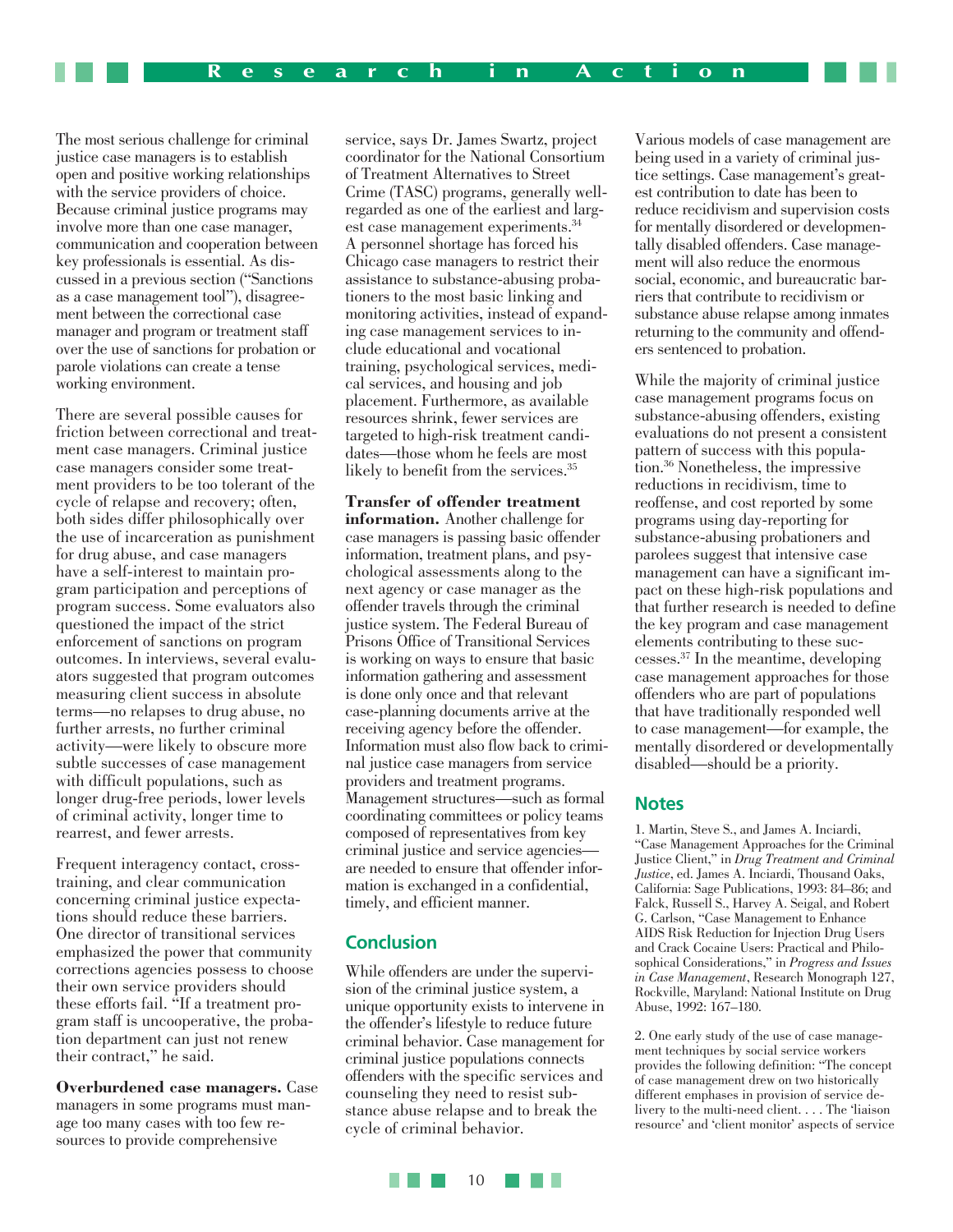The most serious challenge for criminal justice case managers is to establish open and positive working relationships with the service providers of choice. Because criminal justice programs may involve more than one case manager, communication and cooperation between key professionals is essential. As discussed in a previous section ("Sanctions as a case management tool"), disagreement between the correctional case manager and program or treatment staff over the use of sanctions for probation or parole violations can create a tense working environment.

There are several possible causes for friction between correctional and treatment case managers. Criminal justice case managers consider some treatment providers to be too tolerant of the cycle of relapse and recovery; often, both sides differ philosophically over the use of incarceration as punishment for drug abuse, and case managers have a self-interest to maintain program participation and perceptions of program success. Some evaluators also questioned the impact of the strict enforcement of sanctions on program outcomes. In interviews, several evaluators suggested that program outcomes measuring client success in absolute terms—no relapses to drug abuse, no further arrests, no further criminal activity—were likely to obscure more subtle successes of case management with difficult populations, such as longer drug-free periods, lower levels of criminal activity, longer time to rearrest, and fewer arrests.

Frequent interagency contact, crosstraining, and clear communication concerning criminal justice expectations should reduce these barriers. One director of transitional services emphasized the power that community corrections agencies possess to choose their own service providers should these efforts fail. "If a treatment program staff is uncooperative, the probation department can just not renew their contract," he said.

**Overburdened case managers.** Case managers in some programs must manage too many cases with too few resources to provide comprehensive

service, says Dr. James Swartz, project coordinator for the National Consortium of Treatment Alternatives to Street Crime (TASC) programs, generally wellregarded as one of the earliest and largest case management experiments.34 A personnel shortage has forced his Chicago case managers to restrict their assistance to substance-abusing probationers to the most basic linking and monitoring activities, instead of expanding case management services to include educational and vocational training, psychological services, medical services, and housing and job placement. Furthermore, as available resources shrink, fewer services are targeted to high-risk treatment candidates—those whom he feels are most likely to benefit from the services.<sup>35</sup>

**Transfer of offender treatment information.** Another challenge for case managers is passing basic offender information, treatment plans, and psychological assessments along to the next agency or case manager as the offender travels through the criminal justice system. The Federal Bureau of Prisons Office of Transitional Services is working on ways to ensure that basic information gathering and assessment is done only once and that relevant case-planning documents arrive at the receiving agency before the offender. Information must also flow back to criminal justice case managers from service providers and treatment programs. Management structures—such as formal coordinating committees or policy teams composed of representatives from key criminal justice and service agencies are needed to ensure that offender information is exchanged in a confidential, timely, and efficient manner.

### **Conclusion**

While offenders are under the supervision of the criminal justice system, a unique opportunity exists to intervene in the offender's lifestyle to reduce future criminal behavior. Case management for criminal justice populations connects offenders with the specific services and counseling they need to resist substance abuse relapse and to break the cycle of criminal behavior.

10

Various models of case management are being used in a variety of criminal justice settings. Case management's greatest contribution to date has been to reduce recidivism and supervision costs for mentally disordered or developmentally disabled offenders. Case management will also reduce the enormous social, economic, and bureaucratic barriers that contribute to recidivism or substance abuse relapse among inmates returning to the community and offenders sentenced to probation.

While the majority of criminal justice case management programs focus on substance-abusing offenders, existing evaluations do not present a consistent pattern of success with this population.36 Nonetheless, the impressive reductions in recidivism, time to reoffense, and cost reported by some programs using day-reporting for substance-abusing probationers and parolees suggest that intensive case management can have a significant impact on these high-risk populations and that further research is needed to define the key program and case management elements contributing to these successes.37 In the meantime, developing case management approaches for those offenders who are part of populations that have traditionally responded well to case management—for example, the mentally disordered or developmentally disabled—should be a priority.

### **Notes**

1. Martin, Steve S., and James A. Inciardi, "Case Management Approaches for the Criminal Justice Client," in *Drug Treatment and Criminal Justice*, ed. James A. Inciardi, Thousand Oaks, California: Sage Publications, 1993: 84–86; and Falck, Russell S., Harvey A. Seigal, and Robert G. Carlson, "Case Management to Enhance AIDS Risk Reduction for Injection Drug Users and Crack Cocaine Users: Practical and Philosophical Considerations," in *Progress and Issues in Case Management*, Research Monograph 127, Rockville, Maryland: National Institute on Drug Abuse, 1992: 167–180.

2. One early study of the use of case management techniques by social service workers provides the following definition: "The concept of case management drew on two historically different emphases in provision of service delivery to the multi-need client. . . . The 'liaison resource' and 'client monitor' aspects of service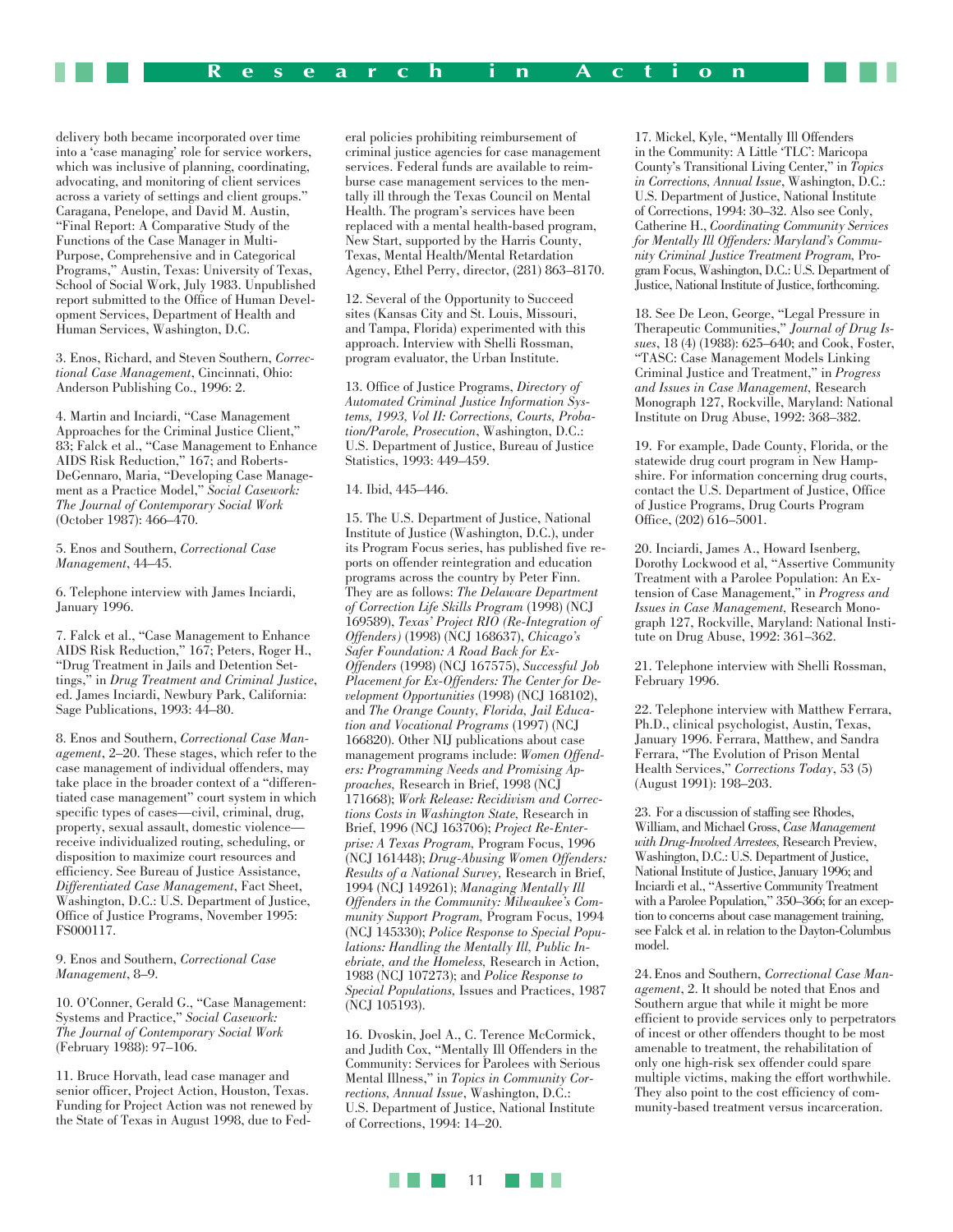delivery both became incorporated over time into a 'case managing' role for service workers, which was inclusive of planning, coordinating, advocating, and monitoring of client services across a variety of settings and client groups." Caragana, Penelope, and David M. Austin, "Final Report: A Comparative Study of the Functions of the Case Manager in Multi-Purpose, Comprehensive and in Categorical Programs," Austin, Texas: University of Texas, School of Social Work, July 1983. Unpublished report submitted to the Office of Human Development Services, Department of Health and Human Services, Washington, D.C.

3. Enos, Richard, and Steven Southern, *Correctional Case Management*, Cincinnati, Ohio: Anderson Publishing Co., 1996: 2.

4. Martin and Inciardi, "Case Management Approaches for the Criminal Justice Client," 83; Falck et al., "Case Management to Enhance AIDS Risk Reduction," 167; and Roberts-DeGennaro, Maria, "Developing Case Management as a Practice Model," *Social Casework: The Journal of Contemporary Social Work* (October 1987): 466–470.

5. Enos and Southern, *Correctional Case Management*, 44–45.

6. Telephone interview with James Inciardi, January 1996.

7. Falck et al., "Case Management to Enhance AIDS Risk Reduction," 167; Peters, Roger H., "Drug Treatment in Jails and Detention Settings," in *Drug Treatment and Criminal Justice*, ed. James Inciardi, Newbury Park, California: Sage Publications, 1993: 44–80.

8. Enos and Southern, *Correctional Case Management*, 2–20. These stages, which refer to the case management of individual offenders, may take place in the broader context of a "differentiated case management" court system in which specific types of cases—civil, criminal, drug, property, sexual assault, domestic violence receive individualized routing, scheduling, or disposition to maximize court resources and efficiency. See Bureau of Justice Assistance, *Differentiated Case Management*, Fact Sheet, Washington, D.C.: U.S. Department of Justice, Office of Justice Programs, November 1995: FS000117.

9. Enos and Southern, *Correctional Case Management*, 8–9.

10. O'Conner, Gerald G., "Case Management: Systems and Practice," *Social Casework: The Journal of Contemporary Social Work* (February 1988): 97–106.

11. Bruce Horvath, lead case manager and senior officer, Project Action, Houston, Texas. Funding for Project Action was not renewed by the State of Texas in August 1998, due to Fed-

eral policies prohibiting reimbursement of criminal justice agencies for case management services. Federal funds are available to reimburse case management services to the mentally ill through the Texas Council on Mental Health. The program's services have been replaced with a mental health-based program, New Start, supported by the Harris County, Texas, Mental Health/Mental Retardation Agency, Ethel Perry, director, (281) 863–8170.

12. Several of the Opportunity to Succeed sites (Kansas City and St. Louis, Missouri, and Tampa, Florida) experimented with this approach. Interview with Shelli Rossman, program evaluator, the Urban Institute.

13. Office of Justice Programs, *Directory of Automated Criminal Justice Information Systems, 1993, Vol II: Corrections, Courts, Probation/Parole, Prosecution*, Washington, D.C.: U.S. Department of Justice, Bureau of Justice Statistics, 1993: 449–459.

#### 14. Ibid, 445–446.

15. The U.S. Department of Justice, National Institute of Justice (Washington, D.C.), under its Program Focus series, has published five reports on offender reintegration and education programs across the country by Peter Finn. They are as follows: *The Delaware Department of Correction Life Skills Program* (1998) (NCJ 169589), *Texas' Project RIO (Re-Integration of Offenders)* (1998) (NCJ 168637), *Chicago's Safer Foundation: A Road Back for Ex-Offenders* (1998) (NCJ 167575), *Successful Job Placement for Ex-Offenders: The Center for Development Opportunities* (1998) (NCJ 168102), and *The Orange County, Florida, Jail Education and Vocational Programs* (1997) (NCJ 166820). Other NIJ publications about case management programs include: *Women Offenders: Programming Needs and Promising Approaches,* Research in Brief, 1998 (NCJ 171668); *Work Release: Recidivism and Corrections Costs in Washington State,* Research in Brief, 1996 (NCJ 163706); *Project Re-Enterprise: A Texas Program,* Program Focus, 1996 (NCJ 161448); *Drug-Abusing Women Offenders: Results of a National Survey,* Research in Brief, 1994 (NCJ 149261); *Managing Mentally Ill Offenders in the Community: Milwaukee's Community Support Program,* Program Focus, 1994 (NCJ 145330); *Police Response to Special Populations: Handling the Mentally Ill, Public Inebriate, and the Homeless,* Research in Action, 1988 (NCJ 107273); and *Police Response to Special Populations,* Issues and Practices, 1987 (NCJ 105193).

16. Dvoskin, Joel A., C. Terence McCormick, and Judith Cox, "Mentally Ill Offenders in the Community: Services for Parolees with Serious Mental Illness," in *Topics in Community Corrections, Annual Issue*, Washington, D.C.: U.S. Department of Justice, National Institute of Corrections, 1994: 14–20.

17. Mickel, Kyle, "Mentally Ill Offenders in the Community: A Little 'TLC': Maricopa County's Transitional Living Center," in *Topics in Corrections, Annual Issue*, Washington, D.C.: U.S. Department of Justice, National Institute of Corrections, 1994: 30–32. Also see Conly, Catherine H., *Coordinating Community Services for Mentally Ill Offenders: Maryland's Community Criminal Justice Treatment Program,* Program Focus, Washington, D.C.: U.S. Department of Justice, National Institute of Justice, forthcoming.

18. See De Leon, George, "Legal Pressure in Therapeutic Communities," *Journal of Drug Issues*, 18 (4) (1988): 625–640; and Cook, Foster, "TASC: Case Management Models Linking Criminal Justice and Treatment," in *Progress and Issues in Case Management,* Research Monograph 127, Rockville, Maryland: National Institute on Drug Abuse, 1992: 368–382.

19. For example, Dade County, Florida, or the statewide drug court program in New Hampshire. For information concerning drug courts, contact the U.S. Department of Justice, Office of Justice Programs, Drug Courts Program Office, (202) 616–5001.

20. Inciardi, James A., Howard Isenberg, Dorothy Lockwood et al, "Assertive Community Treatment with a Parolee Population: An Extension of Case Management," in *Progress and Issues in Case Management,* Research Monograph 127, Rockville, Maryland: National Institute on Drug Abuse, 1992: 361–362.

21. Telephone interview with Shelli Rossman, February 1996.

22. Telephone interview with Matthew Ferrara, Ph.D., clinical psychologist, Austin, Texas, January 1996. Ferrara, Matthew, and Sandra Ferrara, "The Evolution of Prison Mental Health Services," *Corrections Today*, 53 (5) (August 1991): 198–203.

23. For a discussion of staffing see Rhodes, William, and Michael Gross, *Case Management with Drug-Involved Arrestees,* Research Preview, Washington, D.C.: U.S. Department of Justice, National Institute of Justice, January 1996; and Inciardi et al., "Assertive Community Treatment with a Parolee Population," 350–366; for an exception to concerns about case management training, see Falck et al. in relation to the Dayton-Columbus model.

24.Enos and Southern, *Correctional Case Management*, 2. It should be noted that Enos and Southern argue that while it might be more efficient to provide services only to perpetrators of incest or other offenders thought to be most amenable to treatment, the rehabilitation of only one high-risk sex offender could spare multiple victims, making the effort worthwhile. They also point to the cost efficiency of community-based treatment versus incarceration.

11 <u> Film</u>